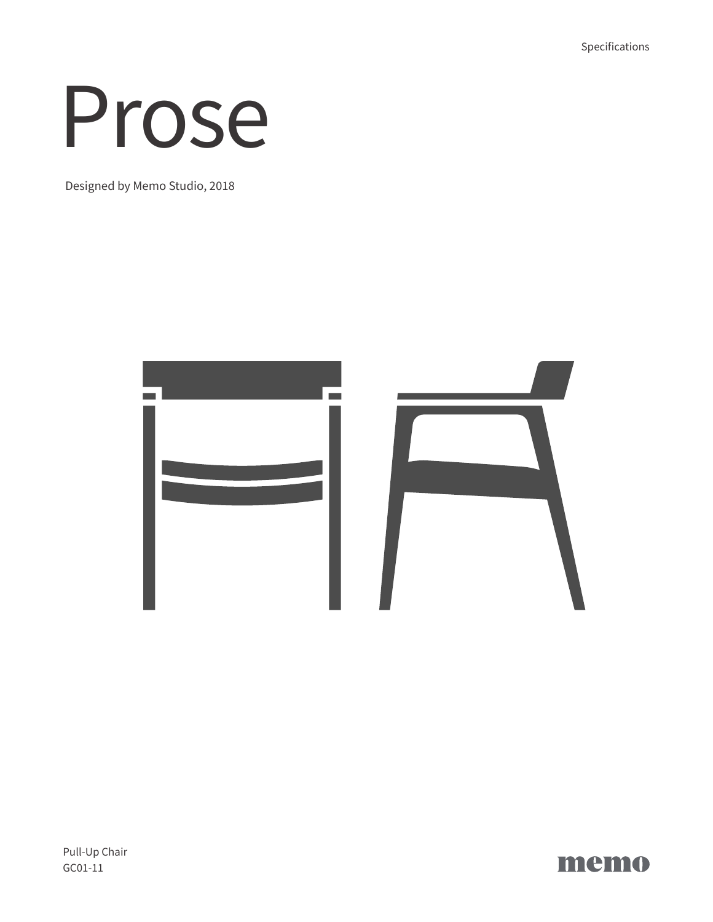Specifications

# Prose

Designed by Memo Studio, 2018



Pull-Up Chair GC01-11

memo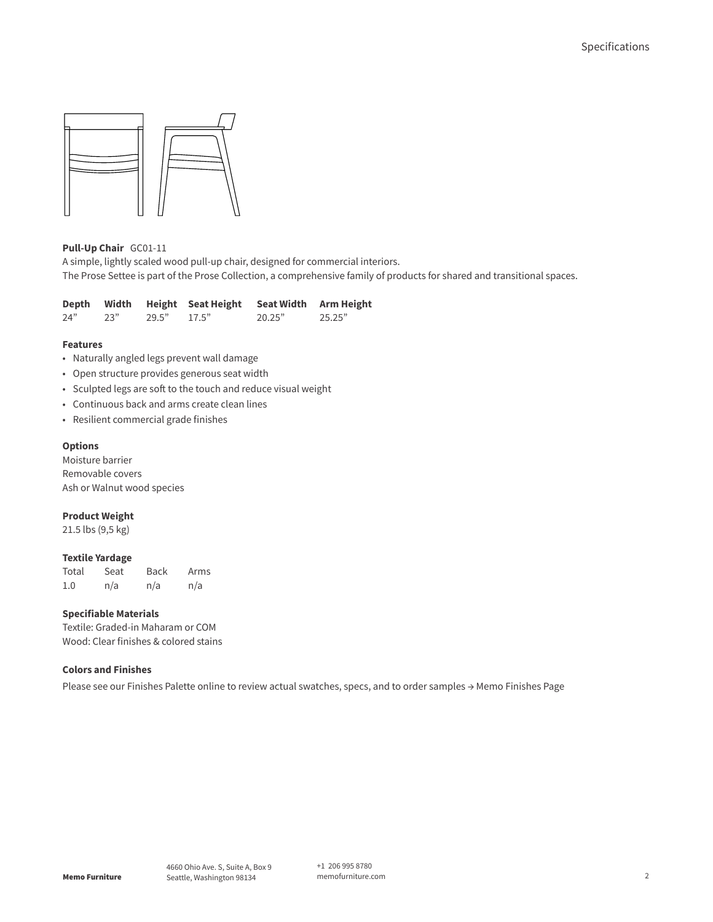

# **Pull-Up Chair** GC01-11

A simple, lightly scaled wood pull-up chair, designed for commercial interiors. The Prose Settee is part of the Prose Collection, a comprehensive family of products for shared and transitional spaces.

| Depth |     |       | Width Height Seat Height | Seat Width Arm Height |        |
|-------|-----|-------|--------------------------|-----------------------|--------|
| 24"   | 23" | 29.5" | 17.5"                    | 20.25"                | 25.25" |

#### **Features**

- Naturally angled legs prevent wall damage
- Open structure provides generous seat width
- Sculpted legs are soft to the touch and reduce visual weight
- Continuous back and arms create clean lines
- Resilient commercial grade finishes

#### **Options**

Moisture barrier Removable covers Ash or Walnut wood species

### **Product Weight**

21.5 lbs (9,5 kg)

## **Textile Yardage**

Total Seat Back Arms 1.0 n/a n/a n/a

## **Specifiable Materials**

Textile: Graded-in Maharam or COM Wood: Clear finishes & colored stains

## **Colors and Finishes**

Please see our Finishes Palette online to review actual swatches, specs, and to order samples [→ Memo Finishes Page](https://memofurniture.com/finishes)